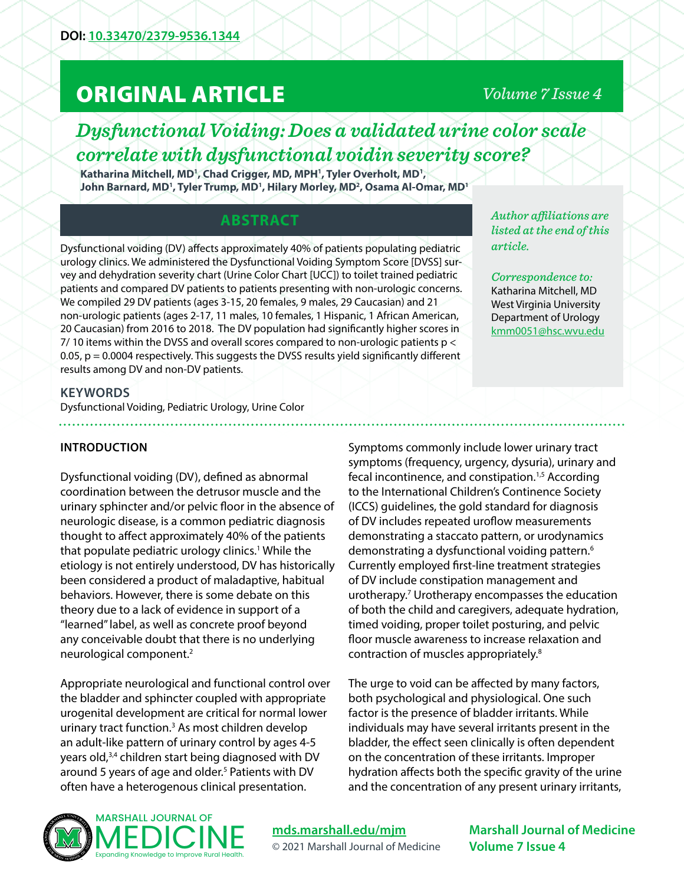# ORIGINAL ARTICLE

## *Volume 7 Issue 4*

## *Dysfunctional Voiding: Does a validated urine color scale correlate with dysfunctional voidin severity score?*

Katharina Mitchell, MD<sup>1</sup>, Chad Crigger, MD, MPH<sup>1</sup>, Tyler Overholt, MD<sup>1</sup>, John Barnard, MD<sup>1</sup>, Tyler Trump, MD<sup>1</sup>, Hilary Morley, MD<sup>2</sup>, Osama Al-Omar, MD<sup>1</sup>

## **ABSTRACT**

Dysfunctional voiding (DV) affects approximately 40% of patients populating pediatric urology clinics. We administered the Dysfunctional Voiding Symptom Score [DVSS] survey and dehydration severity chart (Urine Color Chart [UCC]) to toilet trained pediatric patients and compared DV patients to patients presenting with non-urologic concerns. We compiled 29 DV patients (ages 3-15, 20 females, 9 males, 29 Caucasian) and 21 non-urologic patients (ages 2-17, 11 males, 10 females, 1 Hispanic, 1 African American, 20 Caucasian) from 2016 to 2018. The DV population had significantly higher scores in 7/ 10 items within the DVSS and overall scores compared to non-urologic patients p < 0.05, p = 0.0004 respectively. This suggests the DVSS results yield significantly different results among DV and non-DV patients.

*Author affiliations are listed at the end of this article.* 

*Correspondence to:*  Katharina Mitchell, MD West Virginia University Department of Urology [kmm0051@hsc.wvu.edu](mailto:kmm0051%40hsc.wvu.edu?subject=)

#### **KEYWORDS**

Dysfunctional Voiding, Pediatric Urology, Urine Color

#### **INTRODUCTION**

Dysfunctional voiding (DV), defined as abnormal coordination between the detrusor muscle and the urinary sphincter and/or pelvic floor in the absence of neurologic disease, is a common pediatric diagnosis thought to affect approximately 40% of the patients that populate pediatric urology clinics.1 While the etiology is not entirely understood, DV has historically been considered a product of maladaptive, habitual behaviors. However, there is some debate on this theory due to a lack of evidence in support of a "learned" label, as well as concrete proof beyond any conceivable doubt that there is no underlying neurological component.2

Appropriate neurological and functional control over the bladder and sphincter coupled with appropriate urogenital development are critical for normal lower urinary tract function.<sup>3</sup> As most children develop an adult-like pattern of urinary control by ages 4-5 years old,3,4 children start being diagnosed with DV around 5 years of age and older.<sup>5</sup> Patients with DV often have a heterogenous clinical presentation.

Symptoms commonly include lower urinary tract symptoms (frequency, urgency, dysuria), urinary and fecal incontinence, and constipation.<sup>1,5</sup> According to the International Children's Continence Society (ICCS) guidelines, the gold standard for diagnosis of DV includes repeated uroflow measurements demonstrating a staccato pattern, or urodynamics demonstrating a dysfunctional voiding pattern.<sup>6</sup> Currently employed first-line treatment strategies of DV include constipation management and urotherapy.7 Urotherapy encompasses the education of both the child and caregivers, adequate hydration, timed voiding, proper toilet posturing, and pelvic floor muscle awareness to increase relaxation and contraction of muscles appropriately.8

The urge to void can be affected by many factors, both psychological and physiological. One such factor is the presence of bladder irritants. While individuals may have several irritants present in the bladder, the effect seen clinically is often dependent on the concentration of these irritants. Improper hydration affects both the specific gravity of the urine and the concentration of any present urinary irritants,



**[mds.marshall.edu/mjm](https://mds.marshall.edu/mjm/)** © 2021 Marshall Journal of Medicine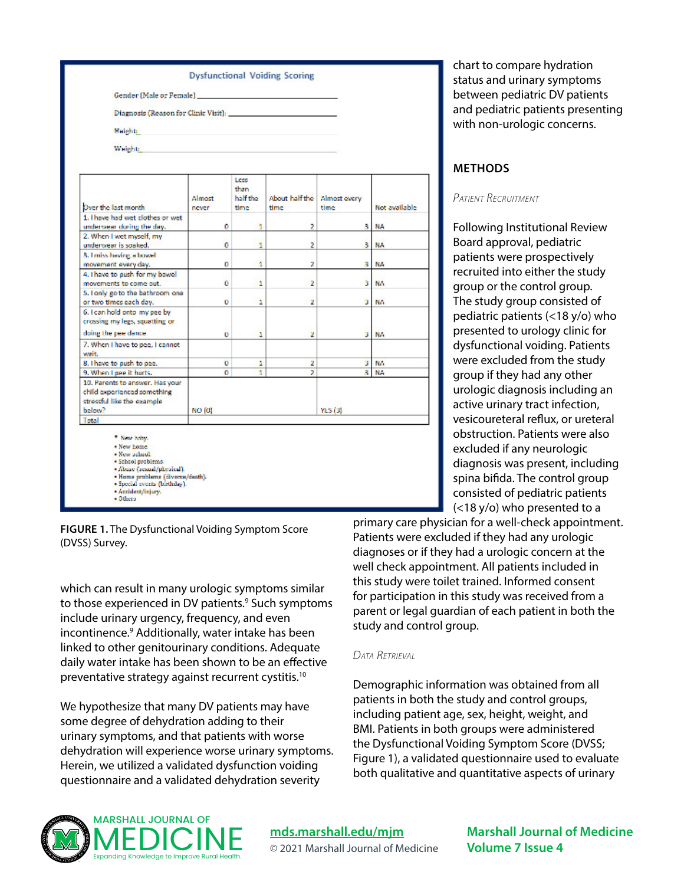

**FIGURE 1.** The Dysfunctional Voiding Symptom Score (DVSS) Survey.

which can result in many urologic symptoms similar to those experienced in DV patients.<sup>9</sup> Such symptoms include urinary urgency, frequency, and even incontinence.9 Additionally, water intake has been linked to other genitourinary conditions. Adequate daily water intake has been shown to be an effective preventative strategy against recurrent cystitis.10

We hypothesize that many DV patients may have some degree of dehydration adding to their urinary symptoms, and that patients with worse dehydration will experience worse urinary symptoms. Herein, we utilized a validated dysfunction voiding questionnaire and a validated dehydration severity

chart to compare hydration status and urinary symptoms between pediatric DV patients and pediatric patients presenting with non-urologic concerns.

#### **METHODS**

#### *Patient Recruitment*

Following Institutional Review Board approval, pediatric patients were prospectively recruited into either the study group or the control group. The study group consisted of pediatric patients (<18 y/o) who presented to urology clinic for dysfunctional voiding. Patients were excluded from the study group if they had any other urologic diagnosis including an active urinary tract infection, vesicoureteral reflux, or ureteral obstruction. Patients were also excluded if any neurologic diagnosis was present, including spina bifida. The control group consisted of pediatric patients (<18 y/o) who presented to a

primary care physician for a well-check appointment. Patients were excluded if they had any urologic diagnoses or if they had a urologic concern at the well check appointment. All patients included in this study were toilet trained. Informed consent for participation in this study was received from a parent or legal guardian of each patient in both the study and control group.

#### *Data Retrieval*

Demographic information was obtained from all patients in both the study and control groups, including patient age, sex, height, weight, and BMI. Patients in both groups were administered the Dysfunctional Voiding Symptom Score (DVSS; Figure 1), a validated questionnaire used to evaluate both qualitative and quantitative aspects of urinary



### **[mds.marshall.edu/mjm](https://mds.marshall.edu/mjm/)** © 2021 Marshall Journal of Medicine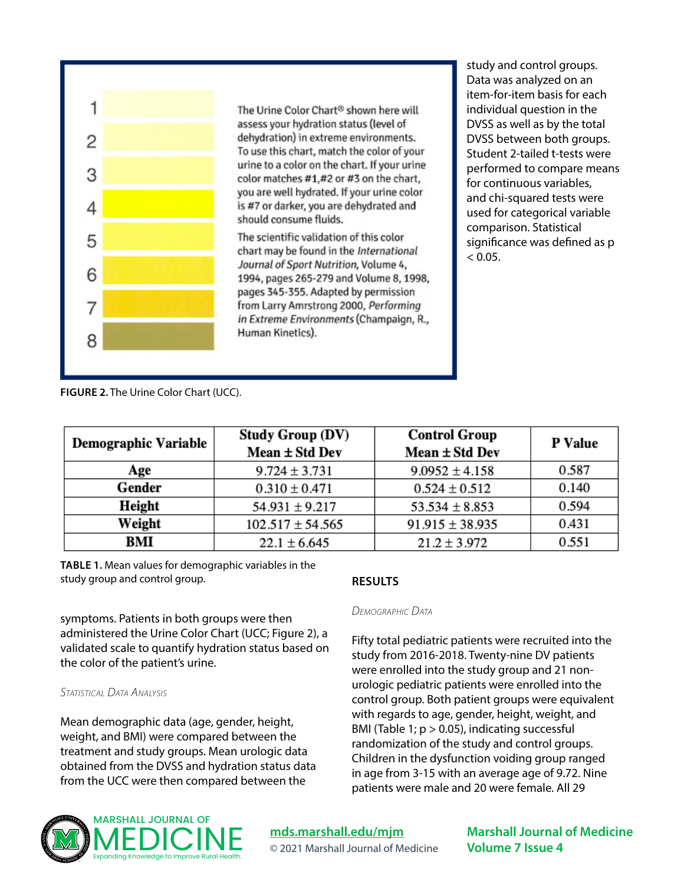

The Urine Color Chart<sup>®</sup> shown here will assess your hydration status (level of dehydration) in extreme environments. To use this chart, match the color of your urine to a color on the chart. If your urine color matches #1,#2 or #3 on the chart, you are well hydrated. If your urine color is #7 or darker, you are dehydrated and should consume fluids.

The scientific validation of this color chart may be found in the International Journal of Sport Nutrition, Volume 4, 1994, pages 265-279 and Volume 8, 1998, pages 345-355. Adapted by permission from Larry Amrstrong 2000, Performing in Extreme Environments (Champaign, R., Human Kinetics).

study and control groups. Data was analyzed on an item-for-item basis for each individual question in the DVSS as well as by the total DVSS between both groups. Student 2-tailed t-tests were performed to compare means for continuous variables, and chi-squared tests were used for categorical variable comparison. Statistical significance was defined as p  $< 0.05.$ 

**FIGURE 2.** The Urine Color Chart (UCC).

| <b>Demographic Variable</b> | <b>Study Group (DV)</b><br>Mean ± Std Dev | <b>Control Group</b><br>Mean ± Std Dev | P Value |
|-----------------------------|-------------------------------------------|----------------------------------------|---------|
| Age                         | $9.724 \pm 3.731$                         | $9.0952 \pm 4.158$                     | 0.587   |
| Gender                      | $0.310 \pm 0.471$                         | $0.524 \pm 0.512$                      | 0.140   |
| Height                      | $54.931 \pm 9.217$                        | $53.534 \pm 8.853$                     | 0.594   |
| Weight                      | $102.517 \pm 54.565$                      | $91.915 \pm 38.935$                    | 0.431   |
| BMI                         | $22.1 \pm 6.645$                          | $21.2 \pm 3.972$                       | 0.551   |

**TABLE 1.** Mean values for demographic variables in the study group and control group.

symptoms. Patients in both groups were then administered the Urine Color Chart (UCC; Figure 2), a validated scale to quantify hydration status based on the color of the patient's urine.

#### *Statistical Data Analysis*

Mean demographic data (age, gender, height, weight, and BMI) were compared between the treatment and study groups. Mean urologic data obtained from the DVSS and hydration status data from the UCC were then compared between the

#### **RESULTS**

#### *Demographic Data*

Fifty total pediatric patients were recruited into the study from 2016-2018. Twenty-nine DV patients were enrolled into the study group and 21 nonurologic pediatric patients were enrolled into the control group. Both patient groups were equivalent with regards to age, gender, height, weight, and BMI (Table 1;  $p > 0.05$ ), indicating successful randomization of the study and control groups. Children in the dysfunction voiding group ranged in age from 3-15 with an average age of 9.72. Nine patients were male and 20 were female. All 29



**[mds.marshall.edu/mjm](https://mds.marshall.edu/mjm/)** © 2021 Marshall Journal of Medicine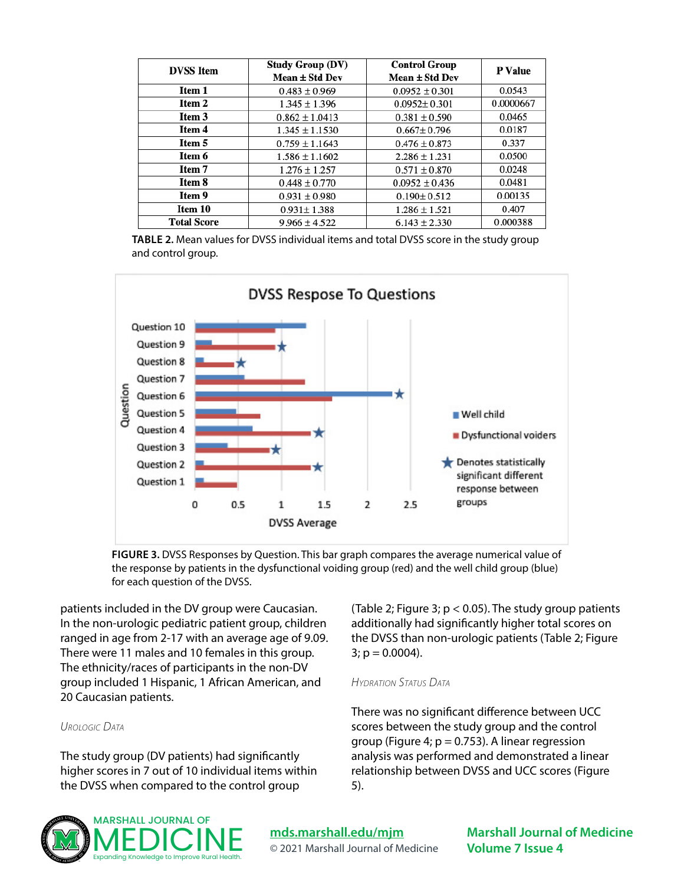| <b>DVSS</b> Item   | <b>Study Group (DV)</b><br>Mean $\pm$ Std Dev | <b>Control Group</b><br>Mean $\pm$ Std Dev | <b>P</b> Value |
|--------------------|-----------------------------------------------|--------------------------------------------|----------------|
| Item 1             | $0.483 \pm 0.969$                             | $0.0952 \pm 0.301$                         | 0.0543         |
| Item 2             | $1.345 \pm 1.396$                             | $0.0952 \pm 0.301$                         | 0.0000667      |
| Item 3             | $0.862 \pm 1.0413$                            | $0.381 \pm 0.590$                          | 0.0465         |
| Item 4             | $1.345 \pm 1.1530$                            | $0.667 \pm 0.796$                          | 0.0187         |
| Item 5             | $0.759 \pm 1.1643$                            | $0.476 \pm 0.873$                          | 0.337          |
| Item 6             | $1.586 \pm 1.1602$                            | $2.286 \pm 1.231$                          | 0.0500         |
| Item 7             | $1.276 \pm 1.257$                             | $0.571 \pm 0.870$                          | 0.0248         |
| Item 8             | $0.448 \pm 0.770$                             | $0.0952 \pm 0.436$                         | 0.0481         |
| Item 9             | $0.931 \pm 0.980$                             | $0.190 \pm 0.512$                          | 0.00135        |
| Item 10            | $0.931 \pm 1.388$                             | $1.286 \pm 1.521$                          | 0.407          |
| <b>Total Score</b> | $9.966 \pm 4.522$                             | $6.143 \pm 2.330$                          | 0.000388       |

**TABLE 2.** Mean values for DVSS individual items and total DVSS score in the study group and control group.



**FIGURE 3.** DVSS Responses by Question. This bar graph compares the average numerical value of the response by patients in the dysfunctional voiding group (red) and the well child group (blue) for each question of the DVSS.

patients included in the DV group were Caucasian. In the non-urologic pediatric patient group, children ranged in age from 2-17 with an average age of 9.09. There were 11 males and 10 females in this group. The ethnicity/races of participants in the non-DV group included 1 Hispanic, 1 African American, and 20 Caucasian patients.

#### *Urologic Data*

The study group (DV patients) had significantly higher scores in 7 out of 10 individual items within the DVSS when compared to the control group



(Table 2; Figure 3;  $p < 0.05$ ). The study group patients additionally had significantly higher total scores on the DVSS than non-urologic patients (Table 2; Figure  $3$ ;  $p = 0.0004$ ).

#### *Hydration Status Data*

There was no significant difference between UCC scores between the study group and the control group (Figure 4;  $p = 0.753$ ). A linear regression analysis was performed and demonstrated a linear relationship between DVSS and UCC scores (Figure 5).

**[mds.marshall.edu/mjm](https://mds.marshall.edu/mjm/)** © 2021 Marshall Journal of Medicine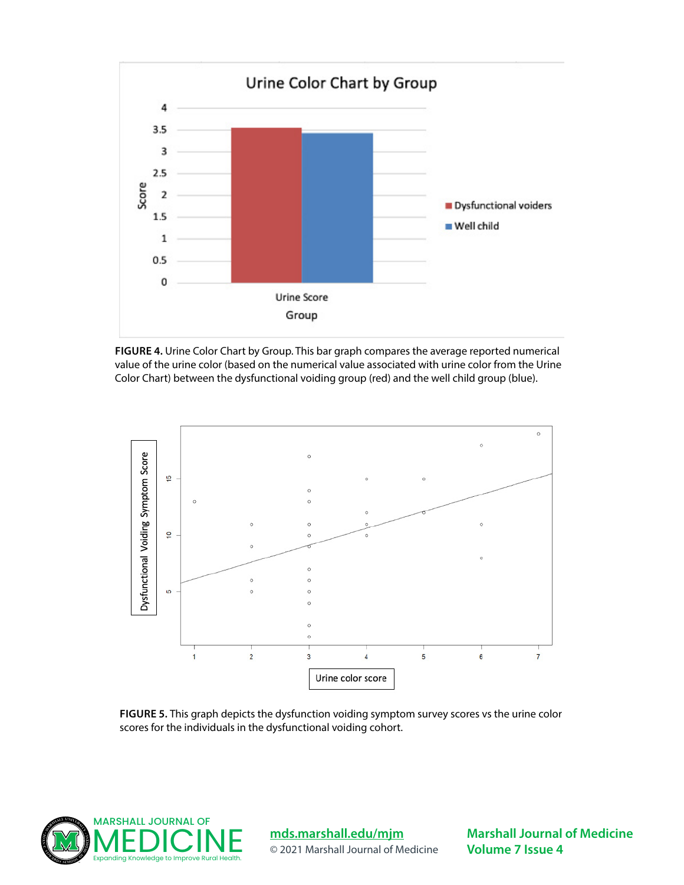

**FIGURE 4.** Urine Color Chart by Group. This bar graph compares the average reported numerical value of the urine color (based on the numerical value associated with urine color from the Urine Color Chart) between the dysfunctional voiding group (red) and the well child group (blue).



**FIGURE 5.** This graph depicts the dysfunction voiding symptom survey scores vs the urine color scores for the individuals in the dysfunctional voiding cohort.



#### **[mds.marshall.edu/mjm](https://mds.marshall.edu/mjm/)**

© 2021 Marshall Journal of Medicine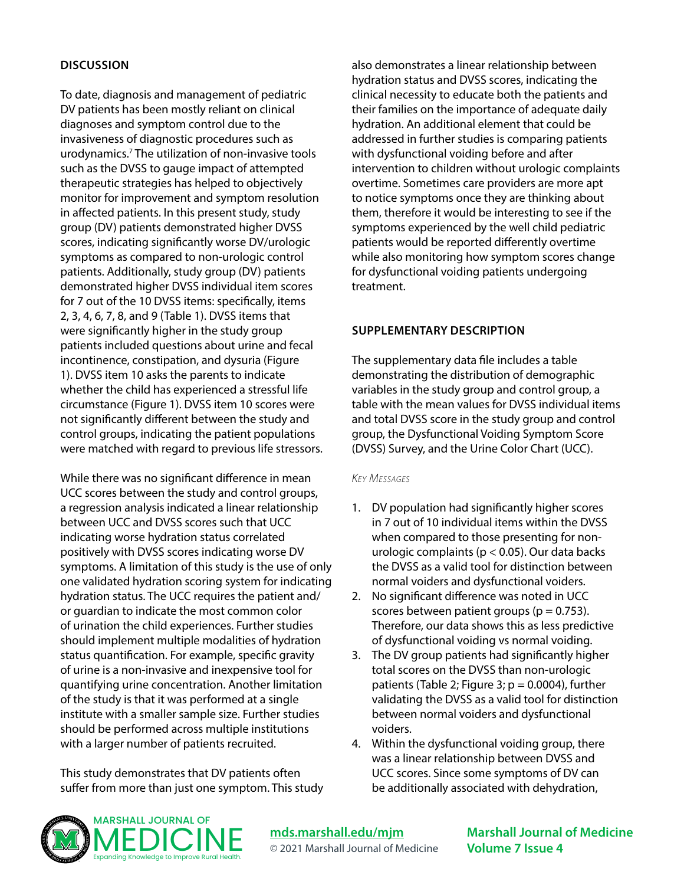#### **DISCUSSION**

To date, diagnosis and management of pediatric DV patients has been mostly reliant on clinical diagnoses and symptom control due to the invasiveness of diagnostic procedures such as urodynamics.7 The utilization of non-invasive tools such as the DVSS to gauge impact of attempted therapeutic strategies has helped to objectively monitor for improvement and symptom resolution in affected patients. In this present study, study group (DV) patients demonstrated higher DVSS scores, indicating significantly worse DV/urologic symptoms as compared to non-urologic control patients. Additionally, study group (DV) patients demonstrated higher DVSS individual item scores for 7 out of the 10 DVSS items: specifically, items 2, 3, 4, 6, 7, 8, and 9 (Table 1). DVSS items that were significantly higher in the study group patients included questions about urine and fecal incontinence, constipation, and dysuria (Figure 1). DVSS item 10 asks the parents to indicate whether the child has experienced a stressful life circumstance (Figure 1). DVSS item 10 scores were not significantly different between the study and control groups, indicating the patient populations were matched with regard to previous life stressors.

While there was no significant difference in mean UCC scores between the study and control groups, a regression analysis indicated a linear relationship between UCC and DVSS scores such that UCC indicating worse hydration status correlated positively with DVSS scores indicating worse DV symptoms. A limitation of this study is the use of only one validated hydration scoring system for indicating hydration status. The UCC requires the patient and/ or guardian to indicate the most common color of urination the child experiences. Further studies should implement multiple modalities of hydration status quantification. For example, specific gravity of urine is a non-invasive and inexpensive tool for quantifying urine concentration. Another limitation of the study is that it was performed at a single institute with a smaller sample size. Further studies should be performed across multiple institutions with a larger number of patients recruited.

This study demonstrates that DV patients often suffer from more than just one symptom. This study also demonstrates a linear relationship between hydration status and DVSS scores, indicating the clinical necessity to educate both the patients and their families on the importance of adequate daily hydration. An additional element that could be addressed in further studies is comparing patients with dysfunctional voiding before and after intervention to children without urologic complaints overtime. Sometimes care providers are more apt to notice symptoms once they are thinking about them, therefore it would be interesting to see if the symptoms experienced by the well child pediatric patients would be reported differently overtime while also monitoring how symptom scores change for dysfunctional voiding patients undergoing treatment.

#### **SUPPLEMENTARY DESCRIPTION**

The supplementary data file includes a table demonstrating the distribution of demographic variables in the study group and control group, a table with the mean values for DVSS individual items and total DVSS score in the study group and control group, the Dysfunctional Voiding Symptom Score (DVSS) Survey, and the Urine Color Chart (UCC).

#### *Key Messages*

- 1. DV population had significantly higher scores in 7 out of 10 individual items within the DVSS when compared to those presenting for nonurologic complaints (p < 0.05). Our data backs the DVSS as a valid tool for distinction between normal voiders and dysfunctional voiders.
- 2. No significant difference was noted in UCC scores between patient groups ( $p = 0.753$ ). Therefore, our data shows this as less predictive of dysfunctional voiding vs normal voiding.
- 3. The DV group patients had significantly higher total scores on the DVSS than non-urologic patients (Table 2; Figure 3;  $p = 0.0004$ ), further validating the DVSS as a valid tool for distinction between normal voiders and dysfunctional voiders.
- 4. Within the dysfunctional voiding group, there was a linear relationship between DVSS and UCC scores. Since some symptoms of DV can be additionally associated with dehydration,



**[mds.marshall.edu/mjm](https://mds.marshall.edu/mjm/)** © 2021 Marshall Journal of Medicine